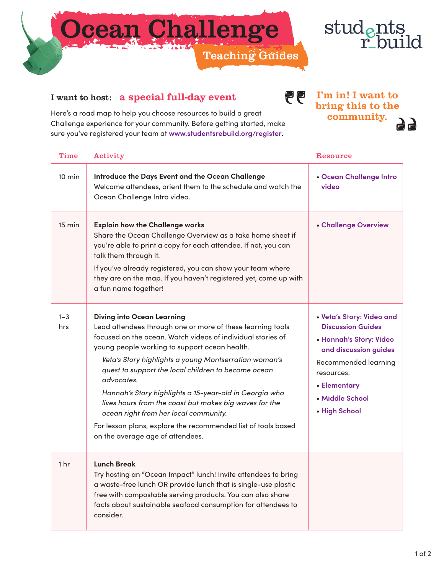



community.

## I want to host: a special full-day event

1 hr **Lunch Break**

Here's a road map to help you choose resources to build a great Challenge experience for your community. Before getting started, make sure you've register

|                  | ire you've registered your team at www.studentsrebuild.org/register.                                                                                                                                                                                                                                                                                                                                    |                                                                                                                                                                                    |
|------------------|---------------------------------------------------------------------------------------------------------------------------------------------------------------------------------------------------------------------------------------------------------------------------------------------------------------------------------------------------------------------------------------------------------|------------------------------------------------------------------------------------------------------------------------------------------------------------------------------------|
| <b>Time</b>      | Activity                                                                                                                                                                                                                                                                                                                                                                                                | Resource                                                                                                                                                                           |
| $10 \text{ min}$ | Introduce the Days Event and the Ocean Challenge<br>Welcome attendees, orient them to the schedule and watch the<br>Ocean Challenge Intro video.                                                                                                                                                                                                                                                        | • Ocean Challenge Intro<br>video                                                                                                                                                   |
| 15 min           | <b>Explain how the Challenge works</b><br>Share the Ocean Challenge Overview as a take home sheet if<br>you're able to print a copy for each attendee. If not, you can<br>talk them through it.                                                                                                                                                                                                         | • Challenge Overview                                                                                                                                                               |
|                  | If you've already registered, you can show your team where<br>they are on the map. If you haven't registered yet, come up with<br>a fun name together!                                                                                                                                                                                                                                                  |                                                                                                                                                                                    |
| $1 - 3$<br>hrs   | <b>Diving into Ocean Learning</b><br>Lead attendees through one or more of these learning tools<br>focused on the ocean. Watch videos of individual stories of<br>young people working to support ocean health.<br>Veta's Story highlights a young Montserratian woman's<br>quest to support the local children to become ocean<br>advocates.<br>Hannah's Story highlights a 15-year-old in Georgia who | • Veta's Story: Video and<br><b>Discussion Guides</b><br>• Hannah's Story: Video<br>and discussion guides<br>Recommended learning<br>resources:<br>• Elementary<br>• Middle School |
|                  | lives hours from the coast but makes big waves for the                                                                                                                                                                                                                                                                                                                                                  |                                                                                                                                                                                    |

• **[High School](https://www.studentsrebuild.org/materials/ocean-lesson-plans-high-school-ages-14-18)**

| For lesson plans, explore the recommended list of tools based<br>on the average age of attendees.                                                                                                                                                                                                 |  |
|---------------------------------------------------------------------------------------------------------------------------------------------------------------------------------------------------------------------------------------------------------------------------------------------------|--|
| <b>Lunch Break</b><br>Try hosting an "Ocean Impact" lunch! Invite attendees to bring<br>a waste-free lunch OR provide lunch that is single-use plastic<br>free with compostable serving products. You can also share<br>facts about sustainable seafood consumption for attendees to<br>consider. |  |

*ocean right from her local community.*